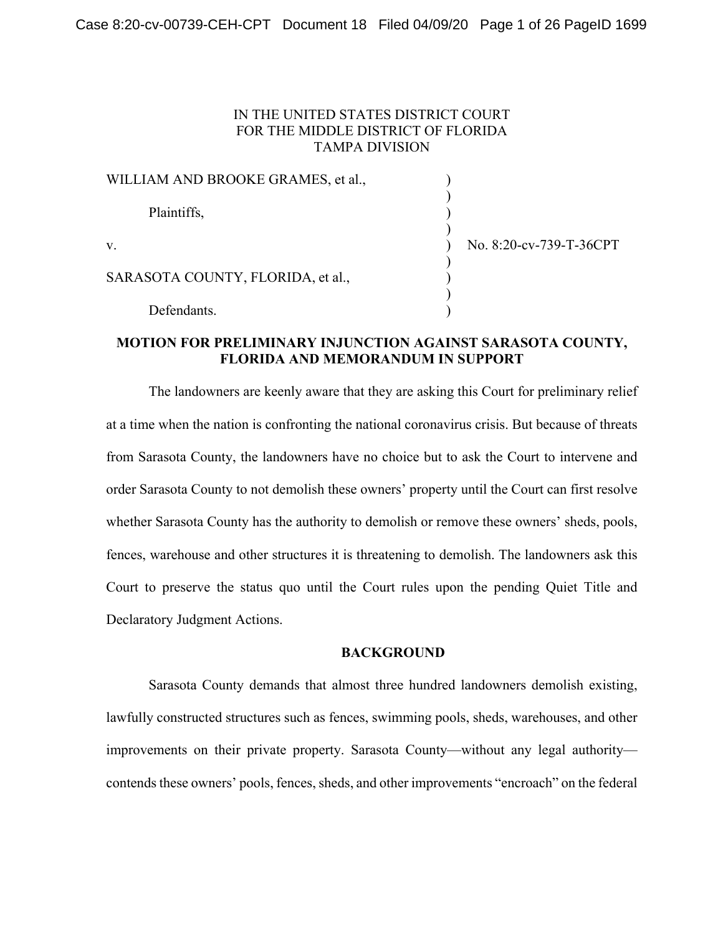## IN THE UNITED STATES DISTRICT COURT FOR THE MIDDLE DISTRICT OF FLORIDA TAMPA DIVISION

| WILLIAM AND BROOKE GRAMES, et al., |                         |
|------------------------------------|-------------------------|
| Plaintiffs,                        |                         |
| V.                                 | No. 8:20-cv-739-T-36CPT |
| SARASOTA COUNTY, FLORIDA, et al.,  |                         |
| Defendants.                        |                         |

## **MOTION FOR PRELIMINARY INJUNCTION AGAINST SARASOTA COUNTY, FLORIDA AND MEMORANDUM IN SUPPORT**

The landowners are keenly aware that they are asking this Court for preliminary relief at a time when the nation is confronting the national coronavirus crisis. But because of threats from Sarasota County, the landowners have no choice but to ask the Court to intervene and order Sarasota County to not demolish these owners' property until the Court can first resolve whether Sarasota County has the authority to demolish or remove these owners' sheds, pools, fences, warehouse and other structures it is threatening to demolish. The landowners ask this Court to preserve the status quo until the Court rules upon the pending Quiet Title and Declaratory Judgment Actions.

## **BACKGROUND**

Sarasota County demands that almost three hundred landowners demolish existing, lawfully constructed structures such as fences, swimming pools, sheds, warehouses, and other improvements on their private property. Sarasota County—without any legal authority contends these owners' pools, fences, sheds, and other improvements "encroach" on the federal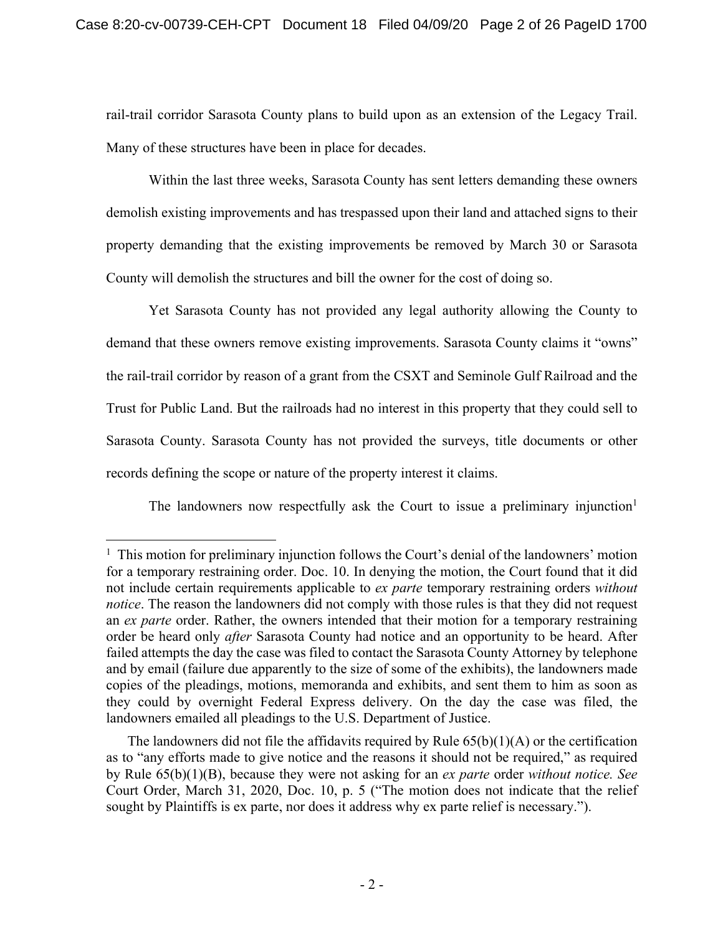rail-trail corridor Sarasota County plans to build upon as an extension of the Legacy Trail. Many of these structures have been in place for decades.

Within the last three weeks, Sarasota County has sent letters demanding these owners demolish existing improvements and has trespassed upon their land and attached signs to their property demanding that the existing improvements be removed by March 30 or Sarasota County will demolish the structures and bill the owner for the cost of doing so.

Yet Sarasota County has not provided any legal authority allowing the County to demand that these owners remove existing improvements. Sarasota County claims it "owns" the rail-trail corridor by reason of a grant from the CSXT and Seminole Gulf Railroad and the Trust for Public Land. But the railroads had no interest in this property that they could sell to Sarasota County. Sarasota County has not provided the surveys, title documents or other records defining the scope or nature of the property interest it claims.

The landowners now respectfully ask the Court to issue a preliminary injunction<sup>1</sup>

<sup>&</sup>lt;sup>1</sup> This motion for preliminary injunction follows the Court's denial of the landowners' motion for a temporary restraining order. Doc. 10. In denying the motion, the Court found that it did not include certain requirements applicable to *ex parte* temporary restraining orders *without notice*. The reason the landowners did not comply with those rules is that they did not request an *ex parte* order. Rather, the owners intended that their motion for a temporary restraining order be heard only *after* Sarasota County had notice and an opportunity to be heard. After failed attempts the day the case was filed to contact the Sarasota County Attorney by telephone and by email (failure due apparently to the size of some of the exhibits), the landowners made copies of the pleadings, motions, memoranda and exhibits, and sent them to him as soon as they could by overnight Federal Express delivery. On the day the case was filed, the landowners emailed all pleadings to the U.S. Department of Justice.

The landowners did not file the affidavits required by Rule  $65(b)(1)(A)$  or the certification as to "any efforts made to give notice and the reasons it should not be required," as required by Rule 65(b)(1)(B), because they were not asking for an *ex parte* order *without notice. See*  Court Order, March 31, 2020, Doc. 10, p. 5 ("The motion does not indicate that the relief sought by Plaintiffs is ex parte, nor does it address why ex parte relief is necessary.").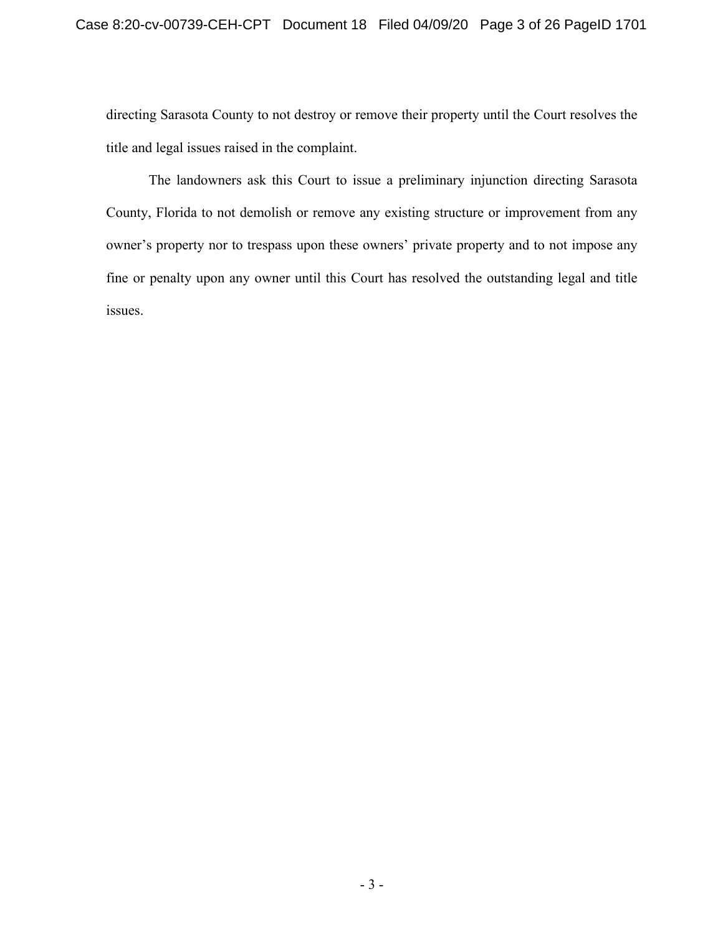directing Sarasota County to not destroy or remove their property until the Court resolves the title and legal issues raised in the complaint.

The landowners ask this Court to issue a preliminary injunction directing Sarasota County, Florida to not demolish or remove any existing structure or improvement from any owner's property nor to trespass upon these owners' private property and to not impose any fine or penalty upon any owner until this Court has resolved the outstanding legal and title issues.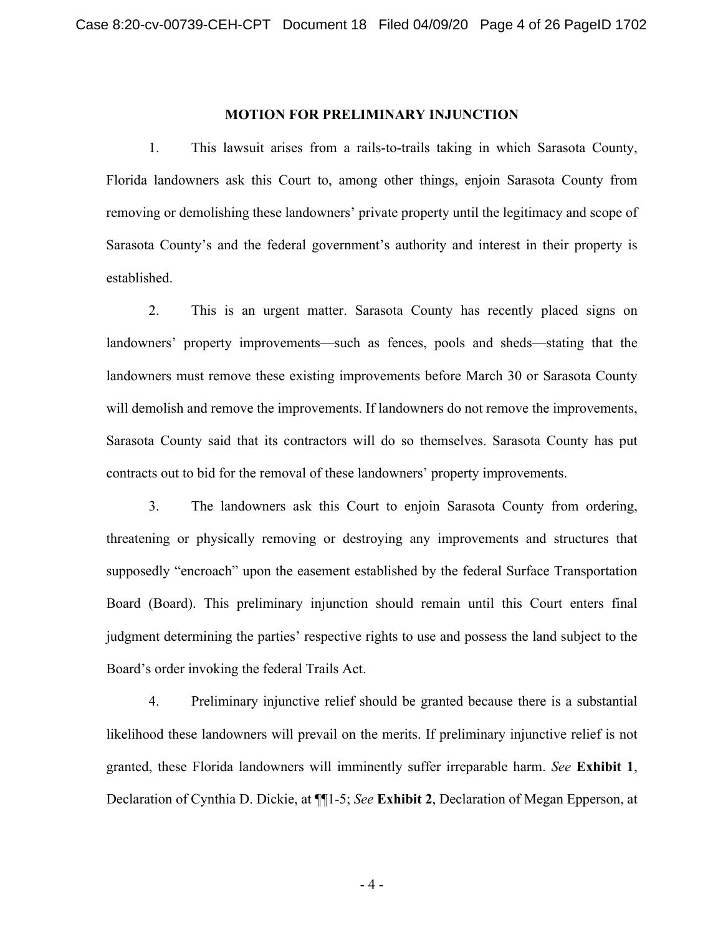### **MOTION FOR PRELIMINARY INJUNCTION**

1. This lawsuit arises from a rails-to-trails taking in which Sarasota County, Florida landowners ask this Court to, among other things, enjoin Sarasota County from removing or demolishing these landowners' private property until the legitimacy and scope of Sarasota County's and the federal government's authority and interest in their property is established.

2. This is an urgent matter. Sarasota County has recently placed signs on landowners' property improvements—such as fences, pools and sheds—stating that the landowners must remove these existing improvements before March 30 or Sarasota County will demolish and remove the improvements. If landowners do not remove the improvements, Sarasota County said that its contractors will do so themselves. Sarasota County has put contracts out to bid for the removal of these landowners' property improvements.

3. The landowners ask this Court to enjoin Sarasota County from ordering, threatening or physically removing or destroying any improvements and structures that supposedly "encroach" upon the easement established by the federal Surface Transportation Board (Board). This preliminary injunction should remain until this Court enters final judgment determining the parties' respective rights to use and possess the land subject to the Board's order invoking the federal Trails Act.

4. Preliminary injunctive relief should be granted because there is a substantial likelihood these landowners will prevail on the merits. If preliminary injunctive relief is not granted, these Florida landowners will imminently suffer irreparable harm. *See* **Exhibit 1**, Declaration of Cynthia D. Dickie, at ¶¶1-5; *See* **Exhibit 2**, Declaration of Megan Epperson, at

- 4 -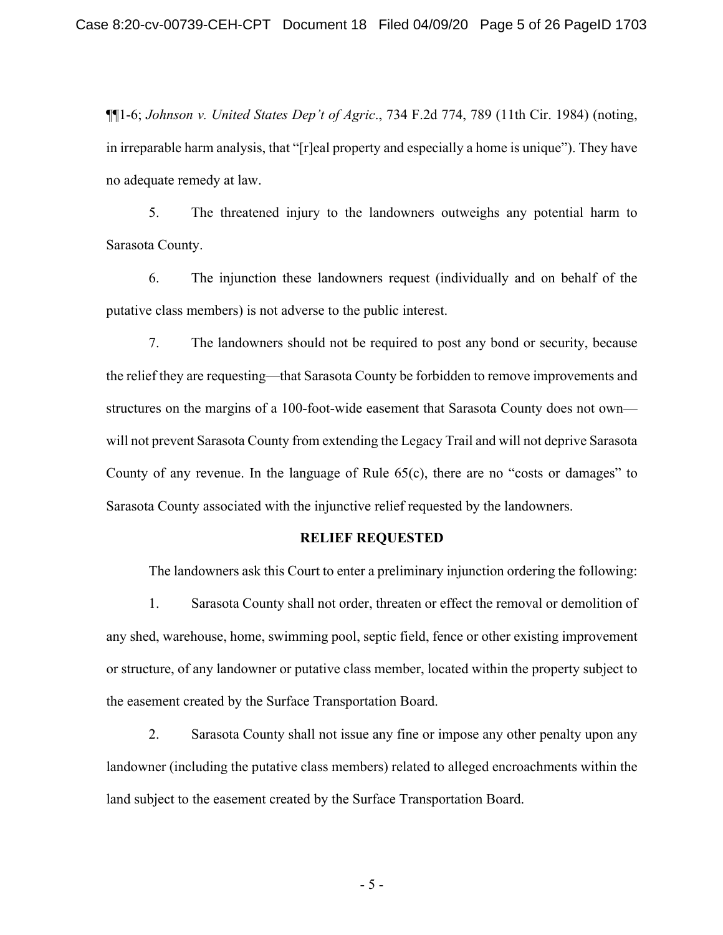¶¶1-6; *Johnson v. United States Dep't of Agric*., 734 F.2d 774, 789 (11th Cir. 1984) (noting, in irreparable harm analysis, that "[r]eal property and especially a home is unique"). They have no adequate remedy at law.

5. The threatened injury to the landowners outweighs any potential harm to Sarasota County.

6. The injunction these landowners request (individually and on behalf of the putative class members) is not adverse to the public interest.

7. The landowners should not be required to post any bond or security, because the relief they are requesting—that Sarasota County be forbidden to remove improvements and structures on the margins of a 100-foot-wide easement that Sarasota County does not own will not prevent Sarasota County from extending the Legacy Trail and will not deprive Sarasota County of any revenue. In the language of Rule 65(c), there are no "costs or damages" to Sarasota County associated with the injunctive relief requested by the landowners.

### **RELIEF REQUESTED**

The landowners ask this Court to enter a preliminary injunction ordering the following:

1. Sarasota County shall not order, threaten or effect the removal or demolition of any shed, warehouse, home, swimming pool, septic field, fence or other existing improvement or structure, of any landowner or putative class member, located within the property subject to the easement created by the Surface Transportation Board.

2. Sarasota County shall not issue any fine or impose any other penalty upon any landowner (including the putative class members) related to alleged encroachments within the land subject to the easement created by the Surface Transportation Board.

- 5 -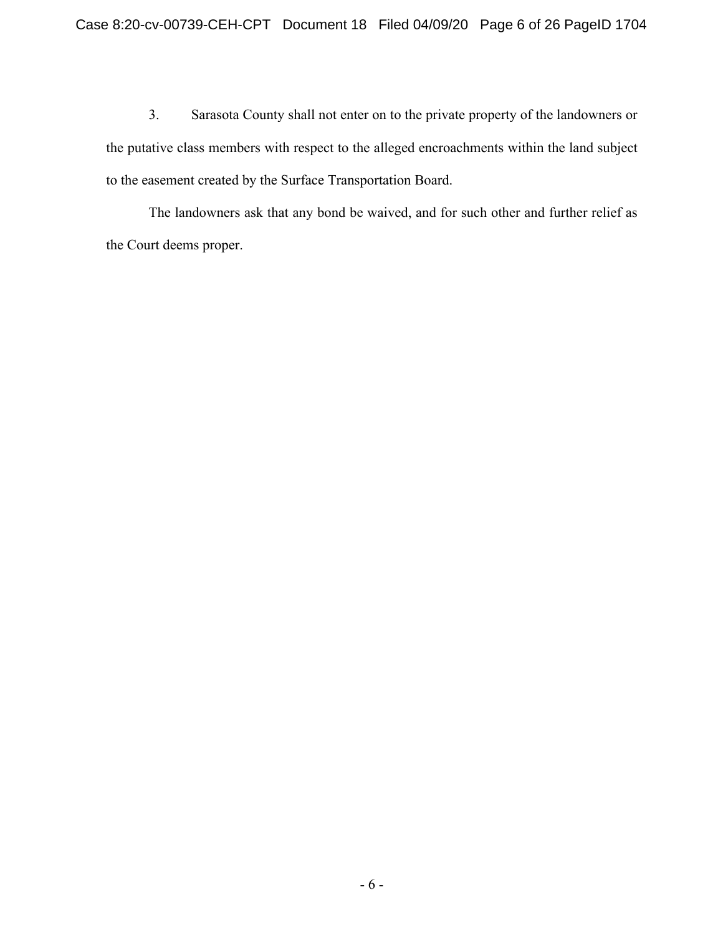3. Sarasota County shall not enter on to the private property of the landowners or the putative class members with respect to the alleged encroachments within the land subject to the easement created by the Surface Transportation Board.

The landowners ask that any bond be waived, and for such other and further relief as the Court deems proper.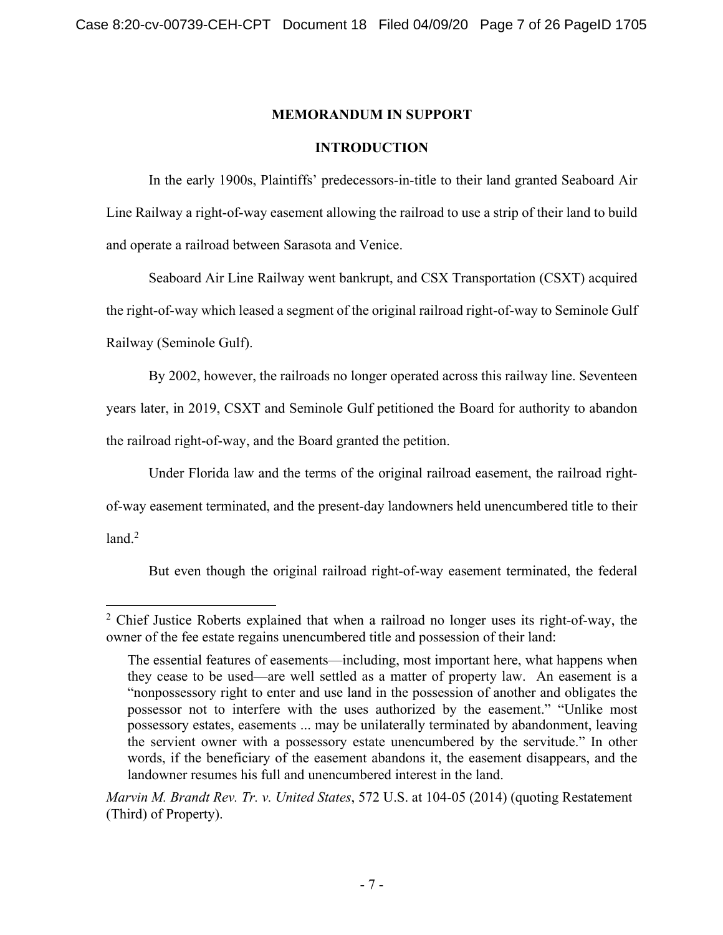# **MEMORANDUM IN SUPPORT**

## **INTRODUCTION**

In the early 1900s, Plaintiffs' predecessors-in-title to their land granted Seaboard Air Line Railway a right-of-way easement allowing the railroad to use a strip of their land to build and operate a railroad between Sarasota and Venice.

Seaboard Air Line Railway went bankrupt, and CSX Transportation (CSXT) acquired the right-of-way which leased a segment of the original railroad right-of-way to Seminole Gulf Railway (Seminole Gulf).

By 2002, however, the railroads no longer operated across this railway line. Seventeen years later, in 2019, CSXT and Seminole Gulf petitioned the Board for authority to abandon the railroad right-of-way, and the Board granted the petition.

Under Florida law and the terms of the original railroad easement, the railroad rightof-way easement terminated, and the present-day landowners held unencumbered title to their land.<sup>2</sup>

But even though the original railroad right-of-way easement terminated, the federal

<sup>&</sup>lt;sup>2</sup> Chief Justice Roberts explained that when a railroad no longer uses its right-of-way, the owner of the fee estate regains unencumbered title and possession of their land:

The essential features of easements—including, most important here, what happens when they cease to be used—are well settled as a matter of property law. An easement is a "nonpossessory right to enter and use land in the possession of another and obligates the possessor not to interfere with the uses authorized by the easement." "Unlike most possessory estates, easements ... may be unilaterally terminated by abandonment, leaving the servient owner with a possessory estate unencumbered by the servitude." In other words, if the beneficiary of the easement abandons it, the easement disappears, and the landowner resumes his full and unencumbered interest in the land.

*Marvin M. Brandt Rev. Tr. v. United States*, 572 U.S. at 104-05 (2014) (quoting Restatement (Third) of Property).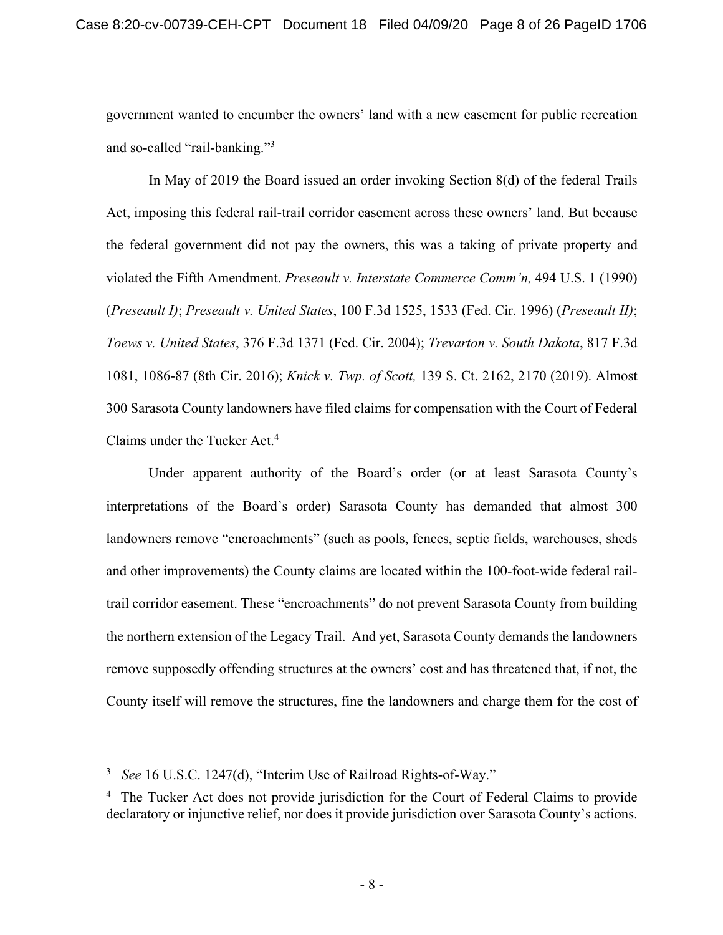government wanted to encumber the owners' land with a new easement for public recreation and so-called "rail-banking."3

In May of 2019 the Board issued an order invoking Section 8(d) of the federal Trails Act, imposing this federal rail-trail corridor easement across these owners' land. But because the federal government did not pay the owners, this was a taking of private property and violated the Fifth Amendment. *Preseault v. Interstate Commerce Comm'n,* 494 U.S. 1 (1990) (*Preseault I)*; *Preseault v. United States*, 100 F.3d 1525, 1533 (Fed. Cir. 1996) (*Preseault II)*; *Toews v. United States*, 376 F.3d 1371 (Fed. Cir. 2004); *Trevarton v. South Dakota*, 817 F.3d 1081, 1086-87 (8th Cir. 2016); *Knick v. Twp. of Scott,* 139 S. Ct. 2162, 2170 (2019). Almost 300 Sarasota County landowners have filed claims for compensation with the Court of Federal Claims under the Tucker Act. 4

Under apparent authority of the Board's order (or at least Sarasota County's interpretations of the Board's order) Sarasota County has demanded that almost 300 landowners remove "encroachments" (such as pools, fences, septic fields, warehouses, sheds and other improvements) the County claims are located within the 100-foot-wide federal railtrail corridor easement. These "encroachments" do not prevent Sarasota County from building the northern extension of the Legacy Trail. And yet, Sarasota County demands the landowners remove supposedly offending structures at the owners' cost and has threatened that, if not, the County itself will remove the structures, fine the landowners and charge them for the cost of

<sup>3</sup> *See* 16 U.S.C. 1247(d), "Interim Use of Railroad Rights-of-Way."

<sup>&</sup>lt;sup>4</sup> The Tucker Act does not provide jurisdiction for the Court of Federal Claims to provide declaratory or injunctive relief, nor does it provide jurisdiction over Sarasota County's actions.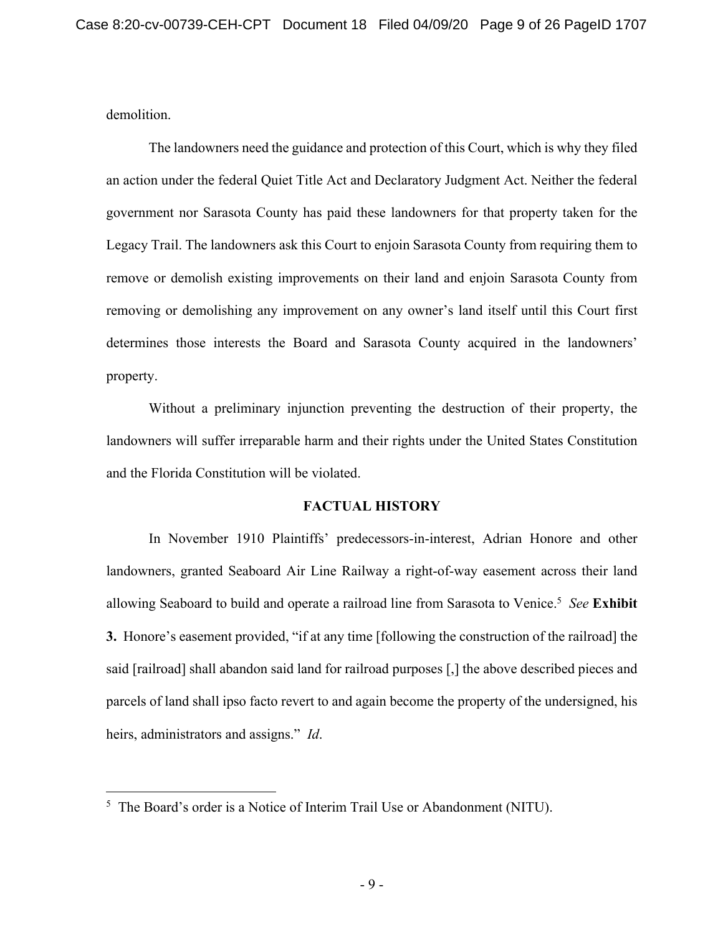demolition.

The landowners need the guidance and protection of this Court, which is why they filed an action under the federal Quiet Title Act and Declaratory Judgment Act. Neither the federal government nor Sarasota County has paid these landowners for that property taken for the Legacy Trail. The landowners ask this Court to enjoin Sarasota County from requiring them to remove or demolish existing improvements on their land and enjoin Sarasota County from removing or demolishing any improvement on any owner's land itself until this Court first determines those interests the Board and Sarasota County acquired in the landowners' property.

Without a preliminary injunction preventing the destruction of their property, the landowners will suffer irreparable harm and their rights under the United States Constitution and the Florida Constitution will be violated.

# **FACTUAL HISTORY**

In November 1910 Plaintiffs' predecessors-in-interest, Adrian Honore and other landowners, granted Seaboard Air Line Railway a right-of-way easement across their land allowing Seaboard to build and operate a railroad line from Sarasota to Venice.<sup>5</sup> See Exhibit **3.** Honore's easement provided, "if at any time [following the construction of the railroad] the said [railroad] shall abandon said land for railroad purposes [,] the above described pieces and parcels of land shall ipso facto revert to and again become the property of the undersigned, his heirs, administrators and assigns." *Id*.

<sup>5</sup> The Board's order is a Notice of Interim Trail Use or Abandonment (NITU).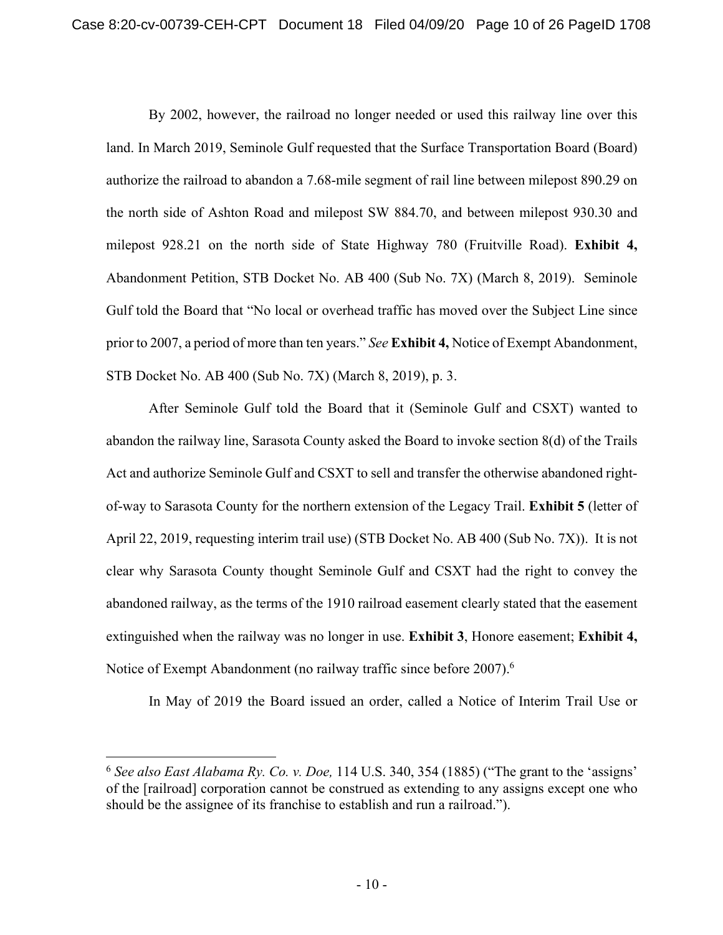By 2002, however, the railroad no longer needed or used this railway line over this land. In March 2019, Seminole Gulf requested that the Surface Transportation Board (Board) authorize the railroad to abandon a 7.68-mile segment of rail line between milepost 890.29 on the north side of Ashton Road and milepost SW 884.70, and between milepost 930.30 and milepost 928.21 on the north side of State Highway 780 (Fruitville Road). **Exhibit 4,** Abandonment Petition, STB Docket No. AB 400 (Sub No. 7X) (March 8, 2019). Seminole Gulf told the Board that "No local or overhead traffic has moved over the Subject Line since prior to 2007, a period of more than ten years." *See* **Exhibit 4,** Notice of Exempt Abandonment, STB Docket No. AB 400 (Sub No. 7X) (March 8, 2019), p. 3.

After Seminole Gulf told the Board that it (Seminole Gulf and CSXT) wanted to abandon the railway line, Sarasota County asked the Board to invoke section 8(d) of the Trails Act and authorize Seminole Gulf and CSXT to sell and transfer the otherwise abandoned rightof-way to Sarasota County for the northern extension of the Legacy Trail. **Exhibit 5** (letter of April 22, 2019, requesting interim trail use) (STB Docket No. AB 400 (Sub No. 7X)). It is not clear why Sarasota County thought Seminole Gulf and CSXT had the right to convey the abandoned railway, as the terms of the 1910 railroad easement clearly stated that the easement extinguished when the railway was no longer in use. **Exhibit 3**, Honore easement; **Exhibit 4,**  Notice of Exempt Abandonment (no railway traffic since before 2007).<sup>6</sup>

In May of 2019 the Board issued an order, called a Notice of Interim Trail Use or

<sup>6</sup> *See also East Alabama Ry. Co. v. Doe,* 114 U.S. 340, 354 (1885) ("The grant to the 'assigns' of the [railroad] corporation cannot be construed as extending to any assigns except one who should be the assignee of its franchise to establish and run a railroad.").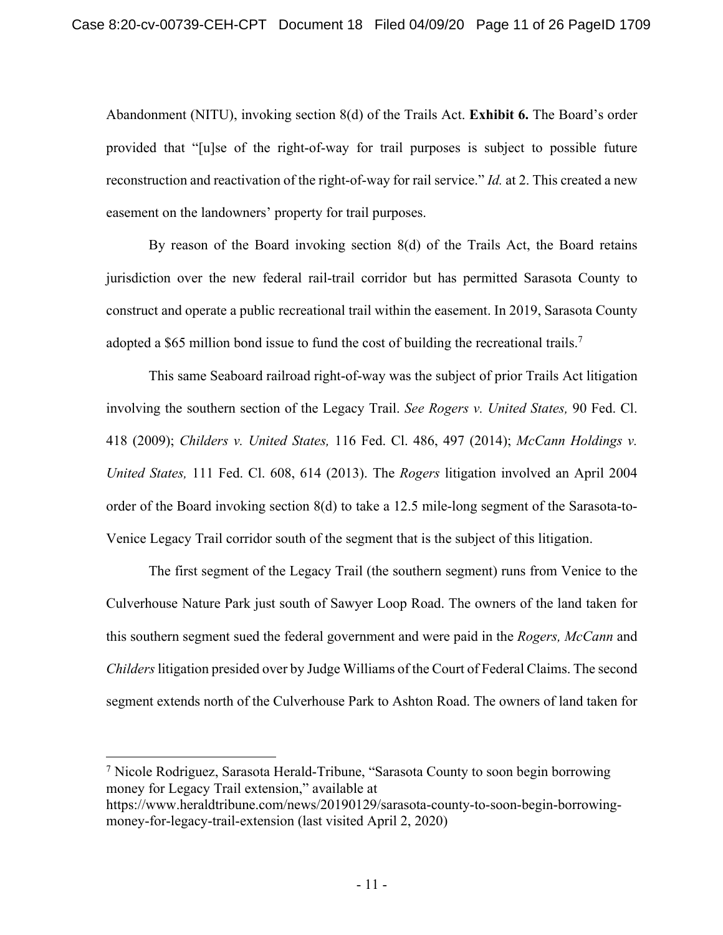Abandonment (NITU), invoking section 8(d) of the Trails Act. **Exhibit 6.** The Board's order provided that "[u]se of the right-of-way for trail purposes is subject to possible future reconstruction and reactivation of the right-of-way for rail service." *Id.* at 2. This created a new easement on the landowners' property for trail purposes.

By reason of the Board invoking section 8(d) of the Trails Act, the Board retains jurisdiction over the new federal rail-trail corridor but has permitted Sarasota County to construct and operate a public recreational trail within the easement. In 2019, Sarasota County adopted a \$65 million bond issue to fund the cost of building the recreational trails.<sup>7</sup>

This same Seaboard railroad right-of-way was the subject of prior Trails Act litigation involving the southern section of the Legacy Trail. *See Rogers v. United States,* 90 Fed. Cl. 418 (2009); *Childers v. United States,* 116 Fed. Cl. 486, 497 (2014); *McCann Holdings v. United States,* 111 Fed. Cl. 608, 614 (2013). The *Rogers* litigation involved an April 2004 order of the Board invoking section 8(d) to take a 12.5 mile-long segment of the Sarasota-to-Venice Legacy Trail corridor south of the segment that is the subject of this litigation.

The first segment of the Legacy Trail (the southern segment) runs from Venice to the Culverhouse Nature Park just south of Sawyer Loop Road. The owners of the land taken for this southern segment sued the federal government and were paid in the *Rogers, McCann* and *Childers* litigation presided over by Judge Williams of the Court of Federal Claims. The second segment extends north of the Culverhouse Park to Ashton Road. The owners of land taken for

<sup>7</sup> Nicole Rodriguez, Sarasota Herald-Tribune, "Sarasota County to soon begin borrowing money for Legacy Trail extension," available at

https://www.heraldtribune.com/news/20190129/sarasota-county-to-soon-begin-borrowingmoney-for-legacy-trail-extension (last visited April 2, 2020)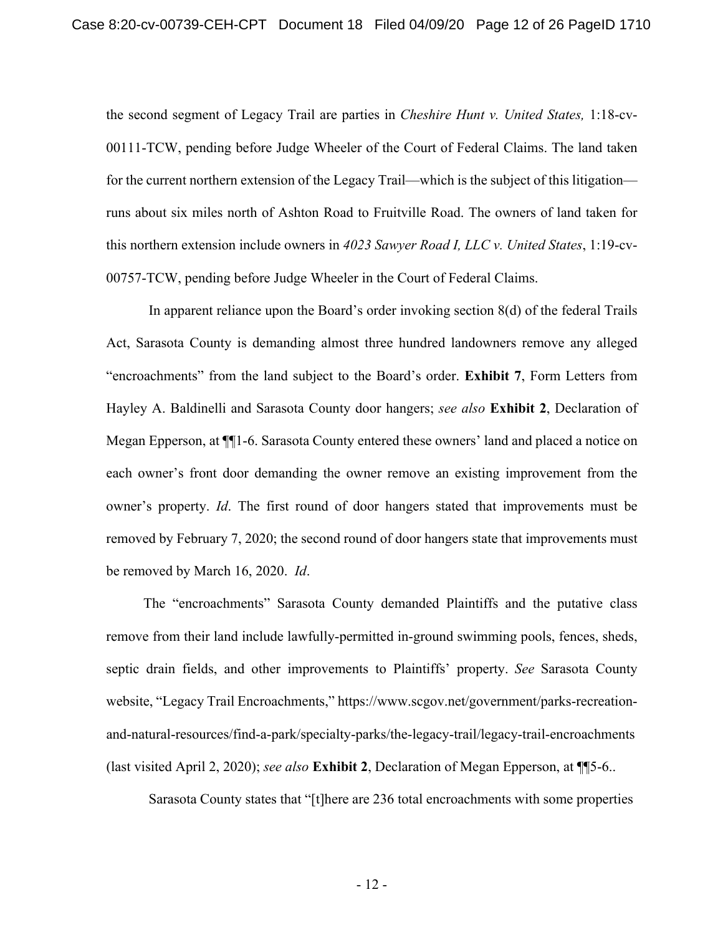the second segment of Legacy Trail are parties in *Cheshire Hunt v. United States,* 1:18-cv-00111-TCW, pending before Judge Wheeler of the Court of Federal Claims. The land taken for the current northern extension of the Legacy Trail—which is the subject of this litigation runs about six miles north of Ashton Road to Fruitville Road. The owners of land taken for this northern extension include owners in *4023 Sawyer Road I, LLC v. United States*, 1:19-cv-00757-TCW, pending before Judge Wheeler in the Court of Federal Claims.

In apparent reliance upon the Board's order invoking section 8(d) of the federal Trails Act, Sarasota County is demanding almost three hundred landowners remove any alleged "encroachments" from the land subject to the Board's order. **Exhibit 7**, Form Letters from Hayley A. Baldinelli and Sarasota County door hangers; *see also* **Exhibit 2**, Declaration of Megan Epperson, at ¶¶1-6. Sarasota County entered these owners' land and placed a notice on each owner's front door demanding the owner remove an existing improvement from the owner's property. *Id*. The first round of door hangers stated that improvements must be removed by February 7, 2020; the second round of door hangers state that improvements must be removed by March 16, 2020. *Id*.

The "encroachments" Sarasota County demanded Plaintiffs and the putative class remove from their land include lawfully-permitted in-ground swimming pools, fences, sheds, septic drain fields, and other improvements to Plaintiffs' property. *See* Sarasota County website, "Legacy Trail Encroachments," https://www.scgov.net/government/parks-recreationand-natural-resources/find-a-park/specialty-parks/the-legacy-trail/legacy-trail-encroachments (last visited April 2, 2020); *see also* **Exhibit 2**, Declaration of Megan Epperson, at ¶¶5-6..

Sarasota County states that "[t]here are 236 total encroachments with some properties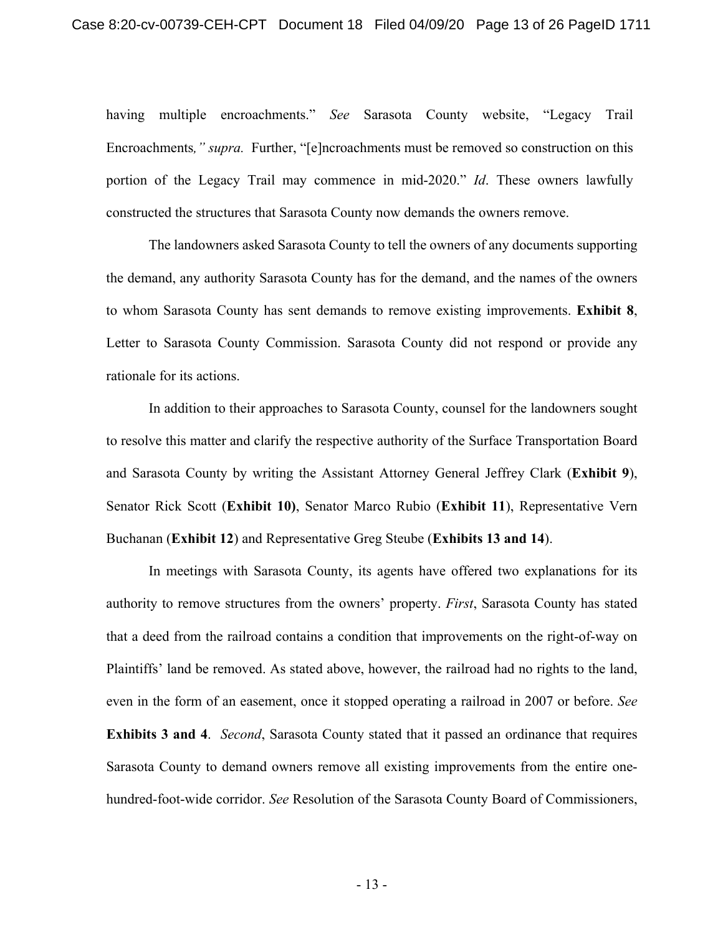having multiple encroachments." *See* Sarasota County website, "Legacy Trail Encroachments*," supra.* Further, "[e]ncroachments must be removed so construction on this portion of the Legacy Trail may commence in mid-2020." *Id*. These owners lawfully constructed the structures that Sarasota County now demands the owners remove.

The landowners asked Sarasota County to tell the owners of any documents supporting the demand, any authority Sarasota County has for the demand, and the names of the owners to whom Sarasota County has sent demands to remove existing improvements. **Exhibit 8**, Letter to Sarasota County Commission. Sarasota County did not respond or provide any rationale for its actions.

In addition to their approaches to Sarasota County, counsel for the landowners sought to resolve this matter and clarify the respective authority of the Surface Transportation Board and Sarasota County by writing the Assistant Attorney General Jeffrey Clark (**Exhibit 9**), Senator Rick Scott (**Exhibit 10)**, Senator Marco Rubio (**Exhibit 11**), Representative Vern Buchanan (**Exhibit 12**) and Representative Greg Steube (**Exhibits 13 and 14**).

In meetings with Sarasota County, its agents have offered two explanations for its authority to remove structures from the owners' property. *First*, Sarasota County has stated that a deed from the railroad contains a condition that improvements on the right-of-way on Plaintiffs' land be removed. As stated above, however, the railroad had no rights to the land, even in the form of an easement, once it stopped operating a railroad in 2007 or before. *See*  **Exhibits 3 and 4**. *Second*, Sarasota County stated that it passed an ordinance that requires Sarasota County to demand owners remove all existing improvements from the entire onehundred-foot-wide corridor. *See* Resolution of the Sarasota County Board of Commissioners,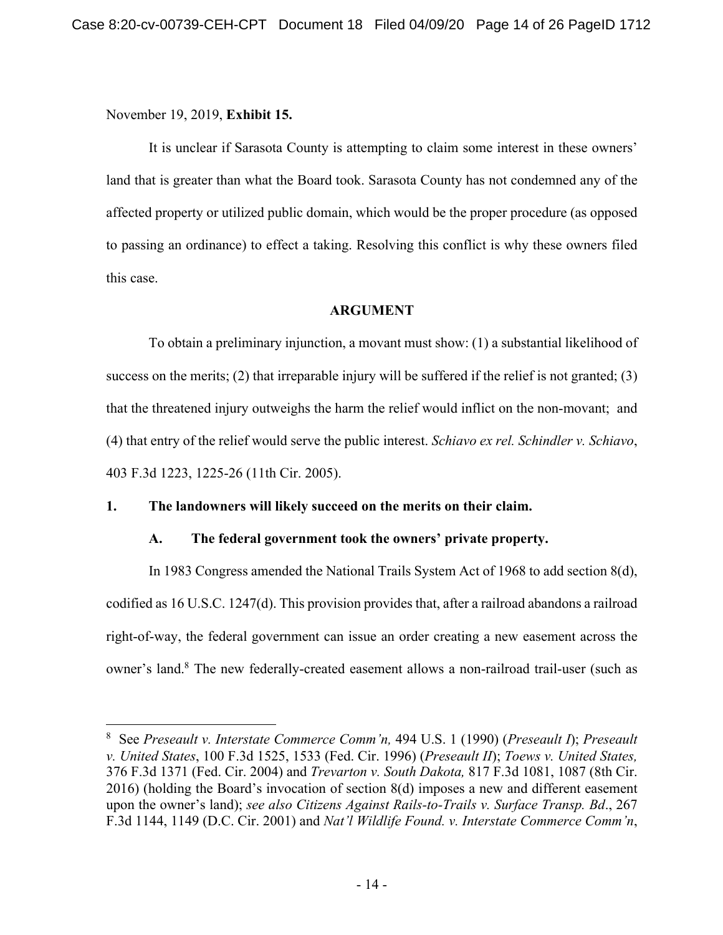November 19, 2019, **Exhibit 15.**

It is unclear if Sarasota County is attempting to claim some interest in these owners' land that is greater than what the Board took. Sarasota County has not condemned any of the affected property or utilized public domain, which would be the proper procedure (as opposed to passing an ordinance) to effect a taking. Resolving this conflict is why these owners filed this case.

## **ARGUMENT**

To obtain a preliminary injunction, a movant must show: (1) a substantial likelihood of success on the merits; (2) that irreparable injury will be suffered if the relief is not granted; (3) that the threatened injury outweighs the harm the relief would inflict on the non-movant; and (4) that entry of the relief would serve the public interest. *Schiavo ex rel. Schindler v. Schiavo*, 403 F.3d 1223, 1225-26 (11th Cir. 2005).

# **1. The landowners will likely succeed on the merits on their claim.**

# **A. The federal government took the owners' private property.**

In 1983 Congress amended the National Trails System Act of 1968 to add section 8(d), codified as 16 U.S.C. 1247(d). This provision provides that, after a railroad abandons a railroad right-of-way, the federal government can issue an order creating a new easement across the owner's land.<sup>8</sup> The new federally-created easement allows a non-railroad trail-user (such as

<sup>8</sup>See *Preseault v. Interstate Commerce Comm'n,* 494 U.S. 1 (1990) (*Preseault I*); *Preseault v. United States*, 100 F.3d 1525, 1533 (Fed. Cir. 1996) (*Preseault II*); *Toews v. United States,*  376 F.3d 1371 (Fed. Cir. 2004) and *Trevarton v. South Dakota,* 817 F.3d 1081, 1087 (8th Cir. 2016) (holding the Board's invocation of section 8(d) imposes a new and different easement upon the owner's land); *see also Citizens Against Rails-to-Trails v. Surface Transp. Bd*., 267 F.3d 1144, 1149 (D.C. Cir. 2001) and *Nat'l Wildlife Found. v. Interstate Commerce Comm'n*,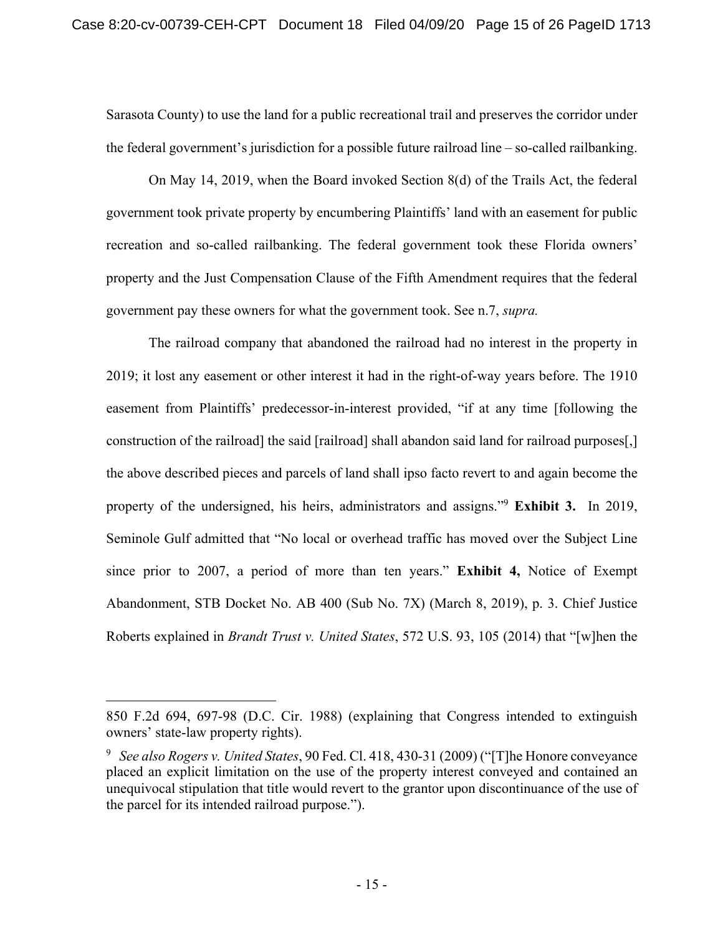Sarasota County) to use the land for a public recreational trail and preserves the corridor under the federal government's jurisdiction for a possible future railroad line – so-called railbanking.

On May 14, 2019, when the Board invoked Section 8(d) of the Trails Act, the federal government took private property by encumbering Plaintiffs' land with an easement for public recreation and so-called railbanking. The federal government took these Florida owners' property and the Just Compensation Clause of the Fifth Amendment requires that the federal government pay these owners for what the government took. See n.7, *supra.*

The railroad company that abandoned the railroad had no interest in the property in 2019; it lost any easement or other interest it had in the right-of-way years before. The 1910 easement from Plaintiffs' predecessor-in-interest provided, "if at any time [following the construction of the railroad] the said [railroad] shall abandon said land for railroad purposes[,] the above described pieces and parcels of land shall ipso facto revert to and again become the property of the undersigned, his heirs, administrators and assigns."9 **Exhibit 3.** In 2019, Seminole Gulf admitted that "No local or overhead traffic has moved over the Subject Line since prior to 2007, a period of more than ten years." **Exhibit 4,** Notice of Exempt Abandonment, STB Docket No. AB 400 (Sub No. 7X) (March 8, 2019), p. 3. Chief Justice Roberts explained in *Brandt Trust v. United States*, 572 U.S. 93, 105 (2014) that "[w]hen the

<sup>850</sup> F.2d 694, 697-98 (D.C. Cir. 1988) (explaining that Congress intended to extinguish owners' state-law property rights).

<sup>9</sup> *See also Rogers v. United States*, 90 Fed. Cl. 418, 430-31 (2009) ("[T]he Honore conveyance placed an explicit limitation on the use of the property interest conveyed and contained an unequivocal stipulation that title would revert to the grantor upon discontinuance of the use of the parcel for its intended railroad purpose.").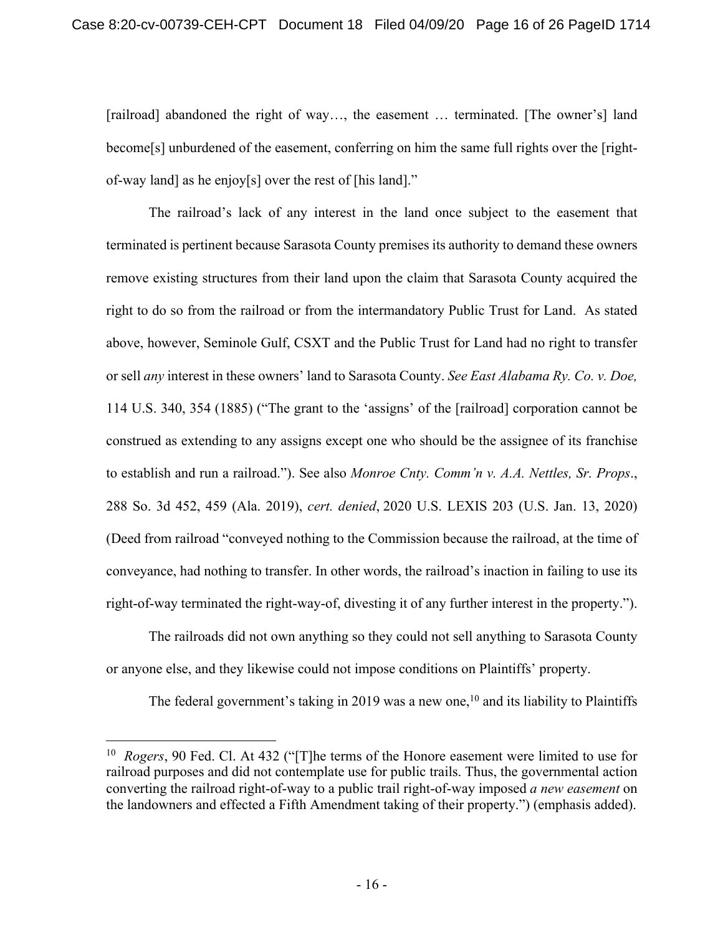[railroad] abandoned the right of way…, the easement … terminated. [The owner's] land become[s] unburdened of the easement, conferring on him the same full rights over the [rightof-way land] as he enjoy[s] over the rest of [his land]."

The railroad's lack of any interest in the land once subject to the easement that terminated is pertinent because Sarasota County premises its authority to demand these owners remove existing structures from their land upon the claim that Sarasota County acquired the right to do so from the railroad or from the intermandatory Public Trust for Land. As stated above, however, Seminole Gulf, CSXT and the Public Trust for Land had no right to transfer or sell *any* interest in these owners' land to Sarasota County. *See East Alabama Ry. Co. v. Doe,*  114 U.S. 340, 354 (1885) ("The grant to the 'assigns' of the [railroad] corporation cannot be construed as extending to any assigns except one who should be the assignee of its franchise to establish and run a railroad."). See also *Monroe Cnty. Comm'n v. A.A. Nettles, Sr. Props*., 288 So. 3d 452, 459 (Ala. 2019), *cert. denied*, 2020 U.S. LEXIS 203 (U.S. Jan. 13, 2020) (Deed from railroad "conveyed nothing to the Commission because the railroad, at the time of conveyance, had nothing to transfer. In other words, the railroad's inaction in failing to use its right-of-way terminated the right-way-of, divesting it of any further interest in the property.").

The railroads did not own anything so they could not sell anything to Sarasota County or anyone else, and they likewise could not impose conditions on Plaintiffs' property.

The federal government's taking in 2019 was a new one,<sup>10</sup> and its liability to Plaintiffs

<sup>10</sup> *Rogers*, 90 Fed. Cl. At 432 ("[T]he terms of the Honore easement were limited to use for railroad purposes and did not contemplate use for public trails. Thus, the governmental action converting the railroad right-of-way to a public trail right-of-way imposed *a new easement* on the landowners and effected a Fifth Amendment taking of their property.") (emphasis added).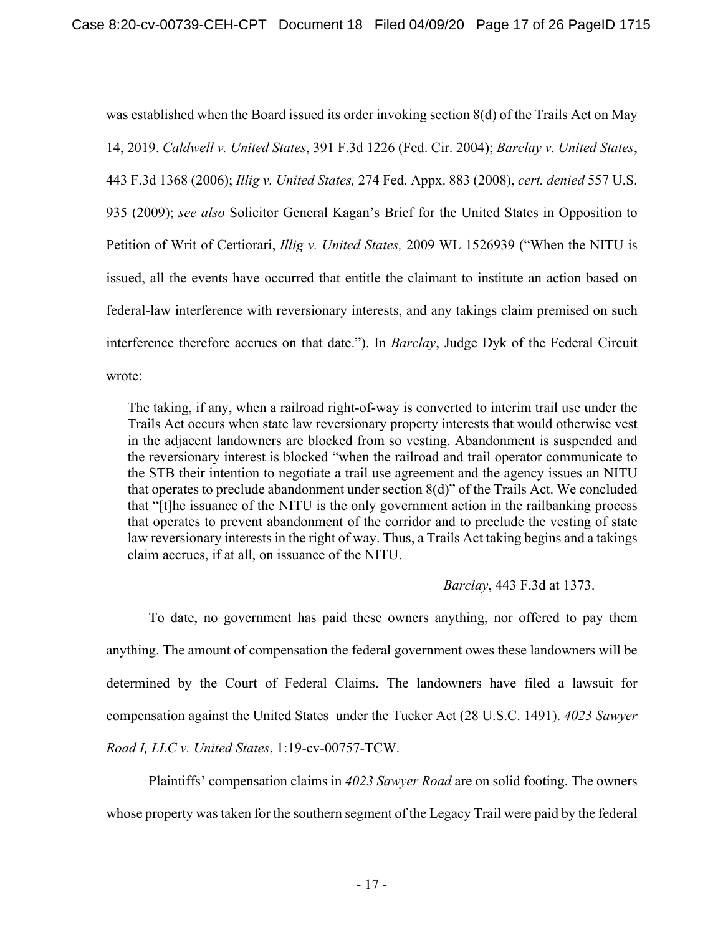was established when the Board issued its order invoking section 8(d) of the Trails Act on May 14, 2019. *Caldwell v. United States*, 391 F.3d 1226 (Fed. Cir. 2004); *Barclay v. United States*, 443 F.3d 1368 (2006); *Illig v. United States,* 274 Fed. Appx. 883 (2008), *cert. denied* 557 U.S. 935 (2009); *see also* Solicitor General Kagan's Brief for the United States in Opposition to Petition of Writ of Certiorari, *Illig v. United States,* 2009 WL 1526939 ("When the NITU is issued, all the events have occurred that entitle the claimant to institute an action based on federal-law interference with reversionary interests, and any takings claim premised on such interference therefore accrues on that date."). In *Barclay*, Judge Dyk of the Federal Circuit wrote:

The taking, if any, when a railroad right-of-way is converted to interim trail use under the Trails Act occurs when state law reversionary property interests that would otherwise vest in the adjacent landowners are blocked from so vesting. Abandonment is suspended and the reversionary interest is blocked "when the railroad and trail operator communicate to the STB their intention to negotiate a trail use agreement and the agency issues an NITU that operates to preclude abandonment under section 8(d)" of the Trails Act. We concluded that "[t]he issuance of the NITU is the only government action in the railbanking process that operates to prevent abandonment of the corridor and to preclude the vesting of state law reversionary interests in the right of way. Thus, a Trails Act taking begins and a takings claim accrues, if at all, on issuance of the NITU.

### *Barclay*, 443 F.3d at 1373.

To date, no government has paid these owners anything, nor offered to pay them anything. The amount of compensation the federal government owes these landowners will be determined by the Court of Federal Claims. The landowners have filed a lawsuit for compensation against the United States under the Tucker Act (28 U.S.C. 1491). *4023 Sawyer Road I, LLC v. United States*, 1:19-cv-00757-TCW.

Plaintiffs' compensation claims in *4023 Sawyer Road* are on solid footing. The owners whose property was taken for the southern segment of the Legacy Trail were paid by the federal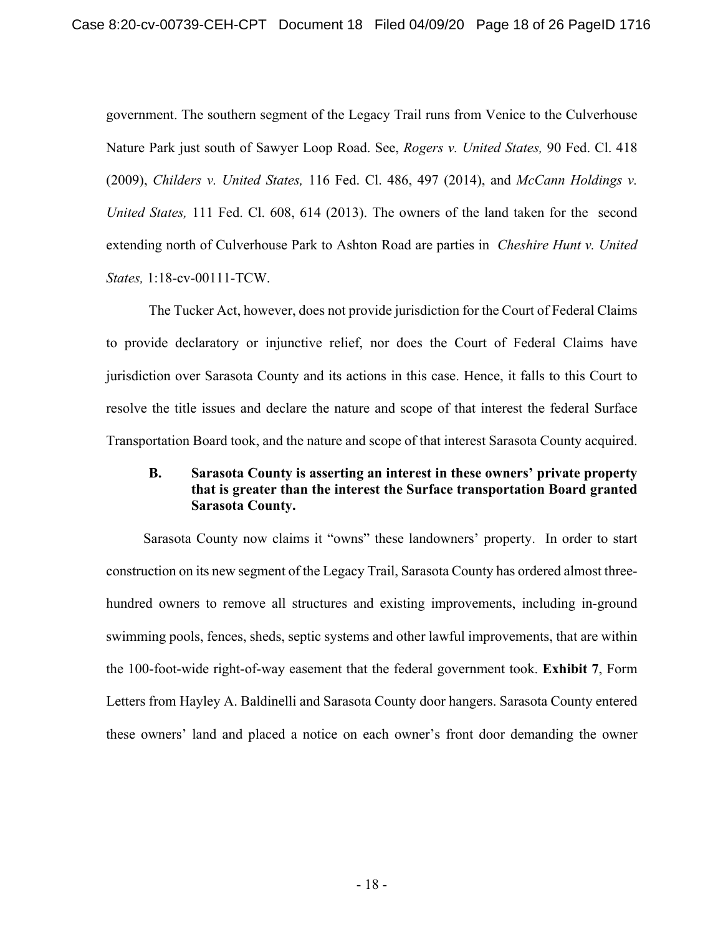government. The southern segment of the Legacy Trail runs from Venice to the Culverhouse Nature Park just south of Sawyer Loop Road. See, *Rogers v. United States,* 90 Fed. Cl. 418 (2009), *Childers v. United States,* 116 Fed. Cl. 486, 497 (2014), and *McCann Holdings v. United States,* 111 Fed. Cl. 608, 614 (2013). The owners of the land taken for the second extending north of Culverhouse Park to Ashton Road are parties in *Cheshire Hunt v. United States,* 1:18-cv-00111-TCW.

The Tucker Act, however, does not provide jurisdiction for the Court of Federal Claims to provide declaratory or injunctive relief, nor does the Court of Federal Claims have jurisdiction over Sarasota County and its actions in this case. Hence, it falls to this Court to resolve the title issues and declare the nature and scope of that interest the federal Surface Transportation Board took, and the nature and scope of that interest Sarasota County acquired.

# **B. Sarasota County is asserting an interest in these owners' private property that is greater than the interest the Surface transportation Board granted Sarasota County.**

Sarasota County now claims it "owns" these landowners' property. In order to start construction on its new segment of the Legacy Trail, Sarasota County has ordered almost threehundred owners to remove all structures and existing improvements, including in-ground swimming pools, fences, sheds, septic systems and other lawful improvements, that are within the 100-foot-wide right-of-way easement that the federal government took. **Exhibit 7**, Form Letters from Hayley A. Baldinelli and Sarasota County door hangers. Sarasota County entered these owners' land and placed a notice on each owner's front door demanding the owner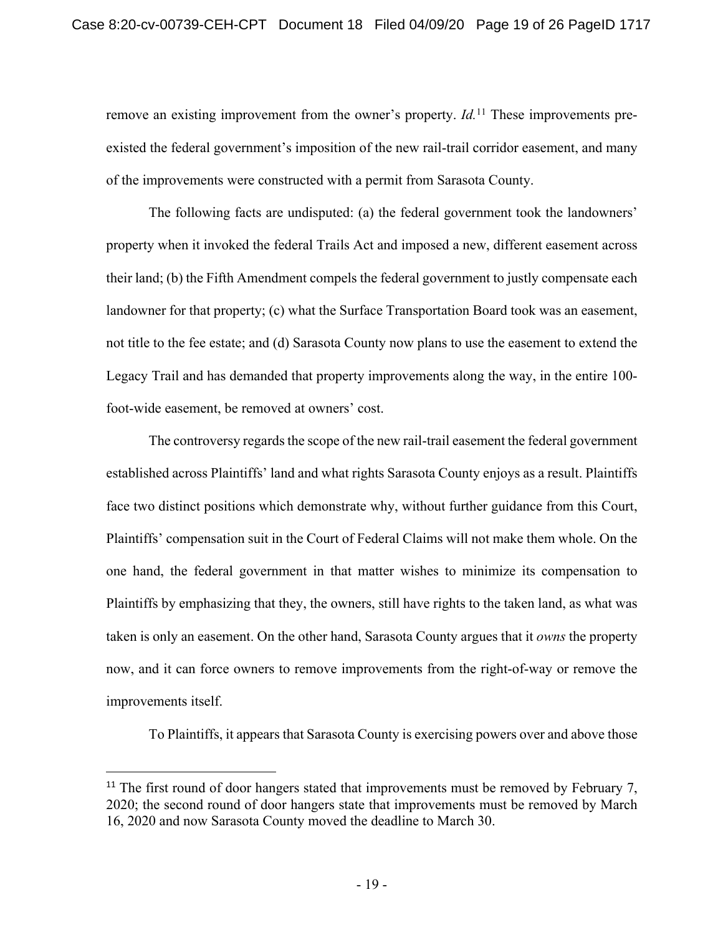remove an existing improvement from the owner's property. *Id*.<sup>11</sup> These improvements preexisted the federal government's imposition of the new rail-trail corridor easement, and many of the improvements were constructed with a permit from Sarasota County.

The following facts are undisputed: (a) the federal government took the landowners' property when it invoked the federal Trails Act and imposed a new, different easement across their land; (b) the Fifth Amendment compels the federal government to justly compensate each landowner for that property; (c) what the Surface Transportation Board took was an easement, not title to the fee estate; and (d) Sarasota County now plans to use the easement to extend the Legacy Trail and has demanded that property improvements along the way, in the entire 100 foot-wide easement, be removed at owners' cost.

The controversy regards the scope of the new rail-trail easement the federal government established across Plaintiffs' land and what rights Sarasota County enjoys as a result. Plaintiffs face two distinct positions which demonstrate why, without further guidance from this Court, Plaintiffs' compensation suit in the Court of Federal Claims will not make them whole. On the one hand, the federal government in that matter wishes to minimize its compensation to Plaintiffs by emphasizing that they, the owners, still have rights to the taken land, as what was taken is only an easement. On the other hand, Sarasota County argues that it *owns* the property now, and it can force owners to remove improvements from the right-of-way or remove the improvements itself.

To Plaintiffs, it appears that Sarasota County is exercising powers over and above those

 $11$  The first round of door hangers stated that improvements must be removed by February 7, 2020; the second round of door hangers state that improvements must be removed by March 16, 2020 and now Sarasota County moved the deadline to March 30.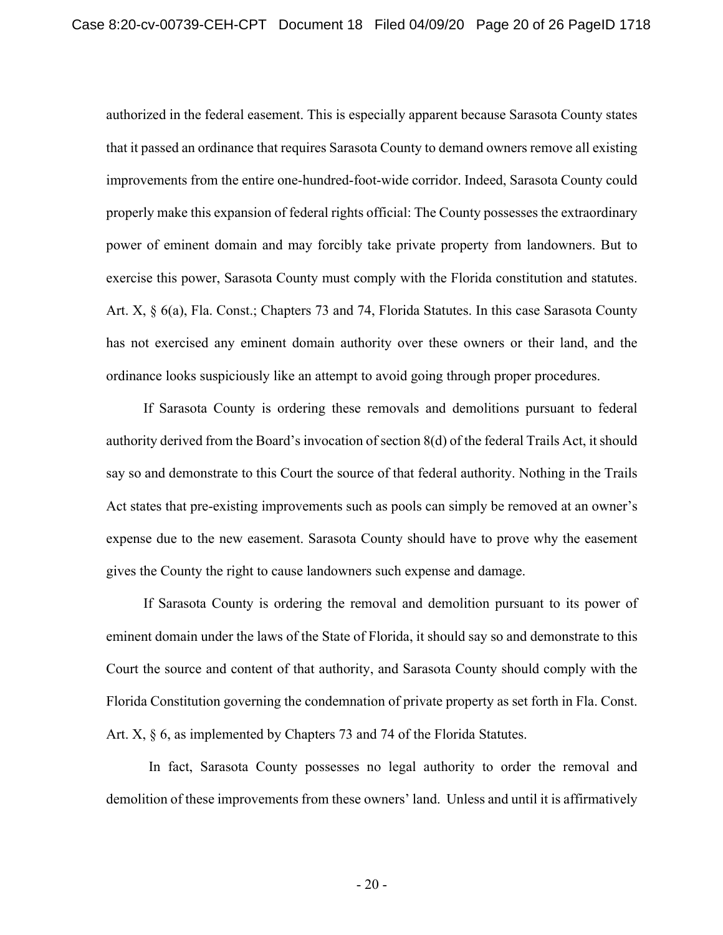authorized in the federal easement. This is especially apparent because Sarasota County states that it passed an ordinance that requires Sarasota County to demand owners remove all existing improvements from the entire one-hundred-foot-wide corridor. Indeed, Sarasota County could properly make this expansion of federal rights official: The County possesses the extraordinary power of eminent domain and may forcibly take private property from landowners. But to exercise this power, Sarasota County must comply with the Florida constitution and statutes. Art. X, § 6(a), Fla. Const.; Chapters 73 and 74, Florida Statutes. In this case Sarasota County has not exercised any eminent domain authority over these owners or their land, and the ordinance looks suspiciously like an attempt to avoid going through proper procedures.

If Sarasota County is ordering these removals and demolitions pursuant to federal authority derived from the Board's invocation of section 8(d) of the federal Trails Act, it should say so and demonstrate to this Court the source of that federal authority. Nothing in the Trails Act states that pre-existing improvements such as pools can simply be removed at an owner's expense due to the new easement. Sarasota County should have to prove why the easement gives the County the right to cause landowners such expense and damage.

If Sarasota County is ordering the removal and demolition pursuant to its power of eminent domain under the laws of the State of Florida, it should say so and demonstrate to this Court the source and content of that authority, and Sarasota County should comply with the Florida Constitution governing the condemnation of private property as set forth in Fla. Const. Art. X,  $\S$  6, as implemented by Chapters 73 and 74 of the Florida Statutes.

In fact, Sarasota County possesses no legal authority to order the removal and demolition of these improvements from these owners' land. Unless and until it is affirmatively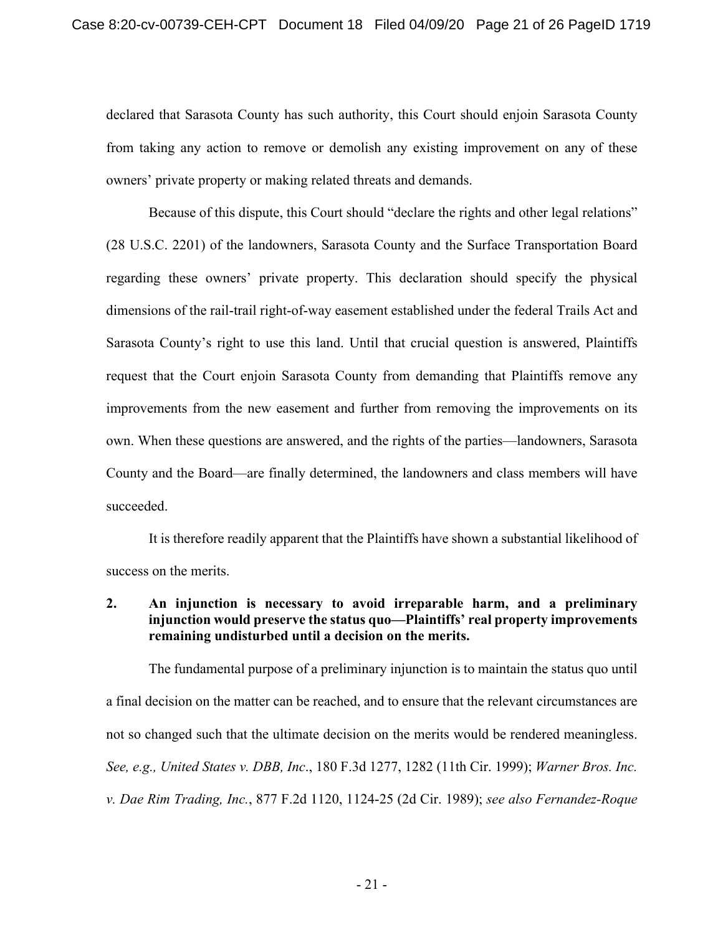declared that Sarasota County has such authority, this Court should enjoin Sarasota County from taking any action to remove or demolish any existing improvement on any of these owners' private property or making related threats and demands.

Because of this dispute, this Court should "declare the rights and other legal relations" (28 U.S.C. 2201) of the landowners, Sarasota County and the Surface Transportation Board regarding these owners' private property. This declaration should specify the physical dimensions of the rail-trail right-of-way easement established under the federal Trails Act and Sarasota County's right to use this land. Until that crucial question is answered, Plaintiffs request that the Court enjoin Sarasota County from demanding that Plaintiffs remove any improvements from the new easement and further from removing the improvements on its own. When these questions are answered, and the rights of the parties—landowners, Sarasota County and the Board—are finally determined, the landowners and class members will have succeeded.

It is therefore readily apparent that the Plaintiffs have shown a substantial likelihood of success on the merits.

# **2. An injunction is necessary to avoid irreparable harm, and a preliminary injunction would preserve the status quo—Plaintiffs' real property improvements remaining undisturbed until a decision on the merits.**

The fundamental purpose of a preliminary injunction is to maintain the status quo until a final decision on the matter can be reached, and to ensure that the relevant circumstances are not so changed such that the ultimate decision on the merits would be rendered meaningless. *See, e.g., United States v. DBB, Inc*., 180 F.3d 1277, 1282 (11th Cir. 1999); *Warner Bros. Inc. v. Dae Rim Trading, Inc.*, 877 F.2d 1120, 1124-25 (2d Cir. 1989); *see also Fernandez-Roque*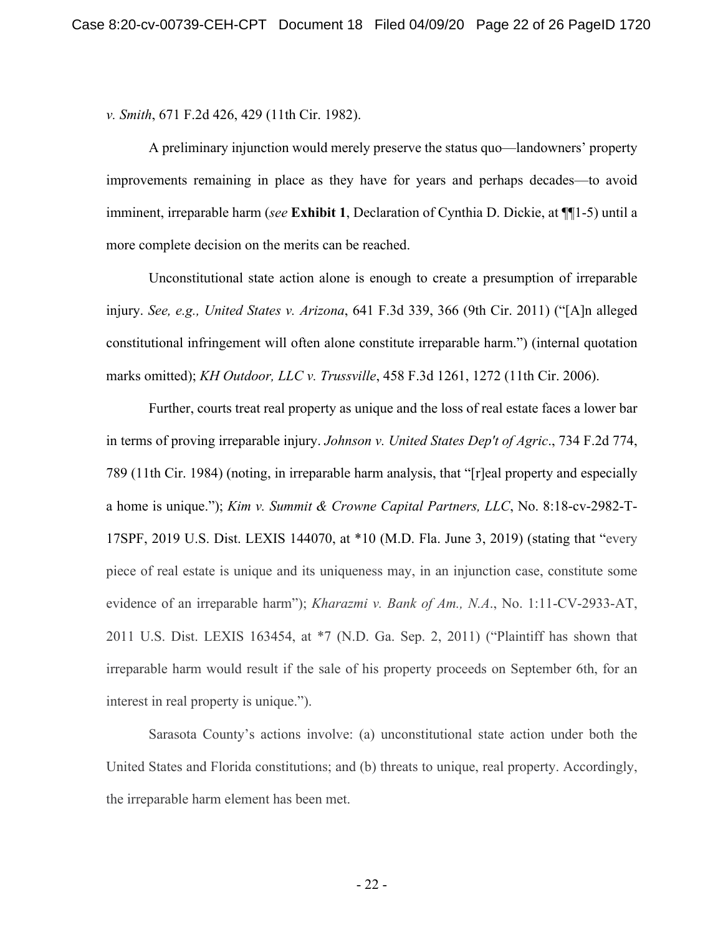*v. Smith*, 671 F.2d 426, 429 (11th Cir. 1982).

A preliminary injunction would merely preserve the status quo—landowners' property improvements remaining in place as they have for years and perhaps decades—to avoid imminent, irreparable harm (*see* **Exhibit 1**, Declaration of Cynthia D. Dickie, at ¶¶1-5) until a more complete decision on the merits can be reached.

Unconstitutional state action alone is enough to create a presumption of irreparable injury. *See, e.g., United States v. Arizona*, 641 F.3d 339, 366 (9th Cir. 2011) ("[A]n alleged constitutional infringement will often alone constitute irreparable harm.") (internal quotation marks omitted); *KH Outdoor, LLC v. Trussville*, 458 F.3d 1261, 1272 (11th Cir. 2006).

Further, courts treat real property as unique and the loss of real estate faces a lower bar in terms of proving irreparable injury. *Johnson v. United States Dep't of Agric*., 734 F.2d 774, 789 (11th Cir. 1984) (noting, in irreparable harm analysis, that "[r]eal property and especially a home is unique."); *Kim v. Summit & Crowne Capital Partners, LLC*, No. 8:18-cv-2982-T-17SPF, 2019 U.S. Dist. LEXIS 144070, at \*10 (M.D. Fla. June 3, 2019) (stating that "every piece of real estate is unique and its uniqueness may, in an injunction case, constitute some evidence of an irreparable harm"); *Kharazmi v. Bank of Am., N.A*., No. 1:11-CV-2933-AT, 2011 U.S. Dist. LEXIS 163454, at \*7 (N.D. Ga. Sep. 2, 2011) ("Plaintiff has shown that irreparable harm would result if the sale of his property proceeds on September 6th, for an interest in real property is unique.").

Sarasota County's actions involve: (a) unconstitutional state action under both the United States and Florida constitutions; and (b) threats to unique, real property. Accordingly, the irreparable harm element has been met.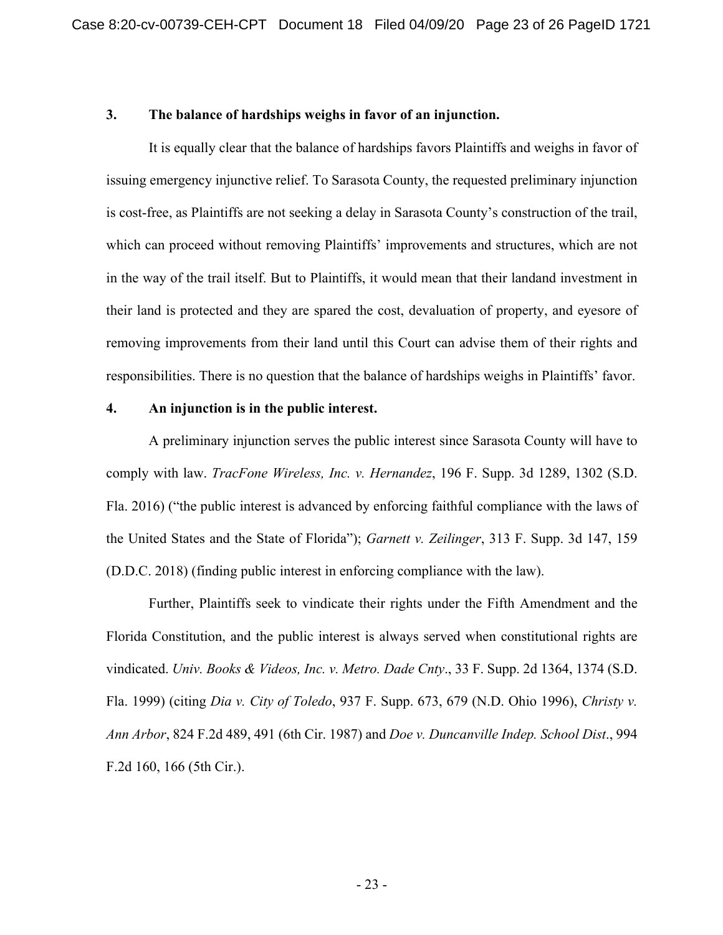### **3. The balance of hardships weighs in favor of an injunction.**

It is equally clear that the balance of hardships favors Plaintiffs and weighs in favor of issuing emergency injunctive relief. To Sarasota County, the requested preliminary injunction is cost-free, as Plaintiffs are not seeking a delay in Sarasota County's construction of the trail, which can proceed without removing Plaintiffs' improvements and structures, which are not in the way of the trail itself. But to Plaintiffs, it would mean that their landand investment in their land is protected and they are spared the cost, devaluation of property, and eyesore of removing improvements from their land until this Court can advise them of their rights and responsibilities. There is no question that the balance of hardships weighs in Plaintiffs' favor.

### **4. An injunction is in the public interest.**

A preliminary injunction serves the public interest since Sarasota County will have to comply with law. *TracFone Wireless, Inc. v. Hernandez*, 196 F. Supp. 3d 1289, 1302 (S.D. Fla. 2016) ("the public interest is advanced by enforcing faithful compliance with the laws of the United States and the State of Florida"); *Garnett v. Zeilinger*, 313 F. Supp. 3d 147, 159 (D.D.C. 2018) (finding public interest in enforcing compliance with the law).

Further, Plaintiffs seek to vindicate their rights under the Fifth Amendment and the Florida Constitution, and the public interest is always served when constitutional rights are vindicated. *Univ. Books & Videos, Inc. v. Metro. Dade Cnty*., 33 F. Supp. 2d 1364, 1374 (S.D. Fla. 1999) (citing *Dia v. City of Toledo*, 937 F. Supp. 673, 679 (N.D. Ohio 1996), *Christy v. Ann Arbor*, 824 F.2d 489, 491 (6th Cir. 1987) and *Doe v. Duncanville Indep. School Dist*., 994 F.2d 160, 166 (5th Cir.).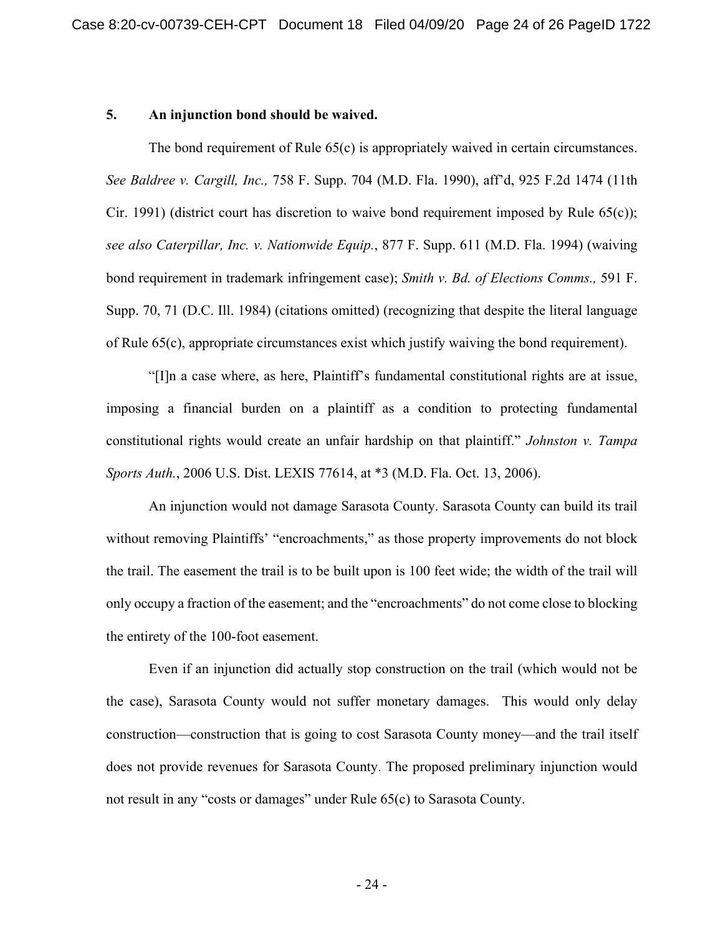### **5. An injunction bond should be waived.**

The bond requirement of Rule 65(c) is appropriately waived in certain circumstances. *See Baldree v. Cargill, Inc.,* 758 F. Supp. 704 (M.D. Fla. 1990), aff'd, 925 F.2d 1474 (11th Cir. 1991) (district court has discretion to waive bond requirement imposed by Rule  $(5)(c)$ ); *see also Caterpillar, Inc. v. Nationwide Equip.*, 877 F. Supp. 611 (M.D. Fla. 1994) (waiving bond requirement in trademark infringement case); *Smith v. Bd. of Elections Comms.,* 591 F. Supp. 70, 71 (D.C. Ill. 1984) (citations omitted) (recognizing that despite the literal language of Rule 65(c), appropriate circumstances exist which justify waiving the bond requirement).

"[I]n a case where, as here, Plaintiff's fundamental constitutional rights are at issue, imposing a financial burden on a plaintiff as a condition to protecting fundamental constitutional rights would create an unfair hardship on that plaintiff." *Johnston v. Tampa Sports Auth.*, 2006 U.S. Dist. LEXIS 77614, at \*3 (M.D. Fla. Oct. 13, 2006).

An injunction would not damage Sarasota County. Sarasota County can build its trail without removing Plaintiffs' "encroachments," as those property improvements do not block the trail. The easement the trail is to be built upon is 100 feet wide; the width of the trail will only occupy a fraction of the easement; and the "encroachments" do not come close to blocking the entirety of the 100-foot easement.

Even if an injunction did actually stop construction on the trail (which would not be the case), Sarasota County would not suffer monetary damages. This would only delay construction—construction that is going to cost Sarasota County money—and the trail itself does not provide revenues for Sarasota County. The proposed preliminary injunction would not result in any "costs or damages" under Rule 65(c) to Sarasota County.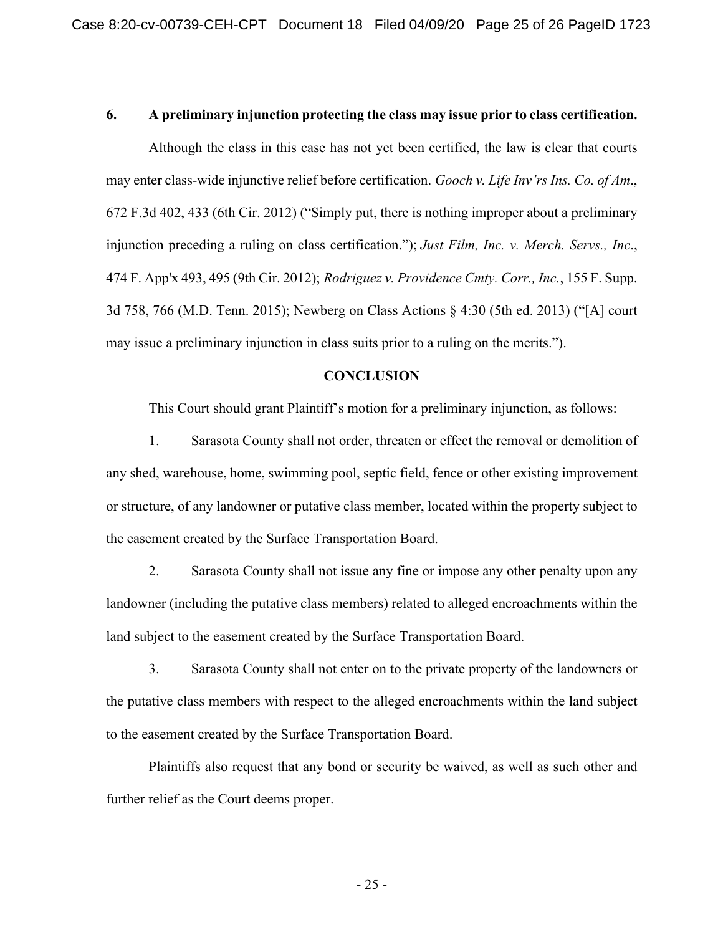### **6. A preliminary injunction protecting the class may issue prior to class certification.**

Although the class in this case has not yet been certified, the law is clear that courts may enter class-wide injunctive relief before certification. *Gooch v. Life Inv'rs Ins. Co. of Am*., 672 F.3d 402, 433 (6th Cir. 2012) ("Simply put, there is nothing improper about a preliminary injunction preceding a ruling on class certification."); *Just Film, Inc. v. Merch. Servs., Inc*., 474 F. App'x 493, 495 (9th Cir. 2012); *Rodriguez v. Providence Cmty. Corr., Inc.*, 155 F. Supp. 3d 758, 766 (M.D. Tenn. 2015); Newberg on Class Actions § 4:30 (5th ed. 2013) ("[A] court may issue a preliminary injunction in class suits prior to a ruling on the merits.").

### **CONCLUSION**

This Court should grant Plaintiff's motion for a preliminary injunction, as follows:

1. Sarasota County shall not order, threaten or effect the removal or demolition of any shed, warehouse, home, swimming pool, septic field, fence or other existing improvement or structure, of any landowner or putative class member, located within the property subject to the easement created by the Surface Transportation Board.

2. Sarasota County shall not issue any fine or impose any other penalty upon any landowner (including the putative class members) related to alleged encroachments within the land subject to the easement created by the Surface Transportation Board.

3. Sarasota County shall not enter on to the private property of the landowners or the putative class members with respect to the alleged encroachments within the land subject to the easement created by the Surface Transportation Board.

Plaintiffs also request that any bond or security be waived, as well as such other and further relief as the Court deems proper.

- 25 -